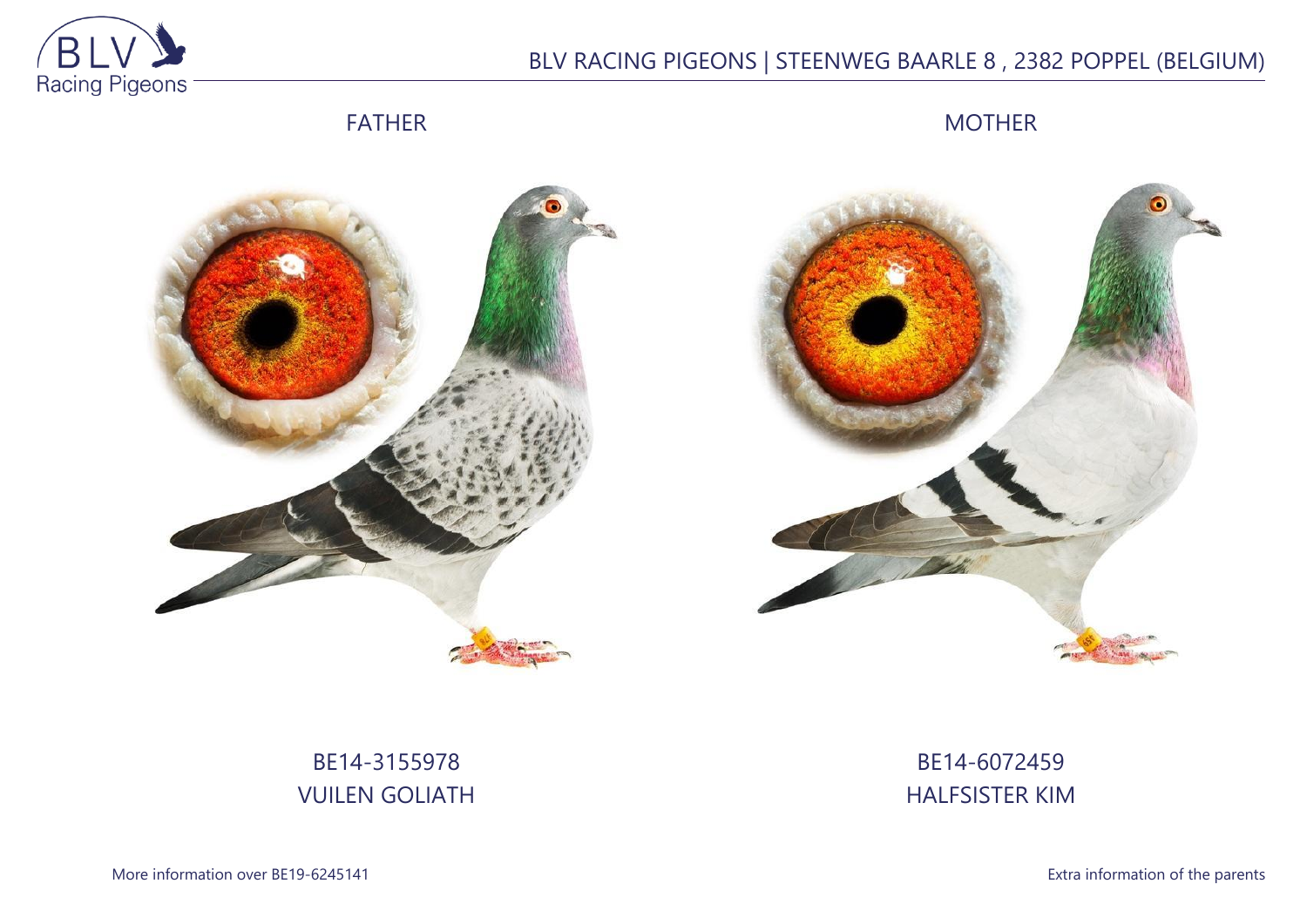

## BLV RACING PIGEONS | STEENWEG BAARLE 8 , 2382 POPPEL (BELGIUM)

FATHER

MOTHER





# BE14-3155978 VUILEN GOLIATH

BE14-6072459 HALFSISTER KIM

More information over BE19-6245141 **Extra information of the parents**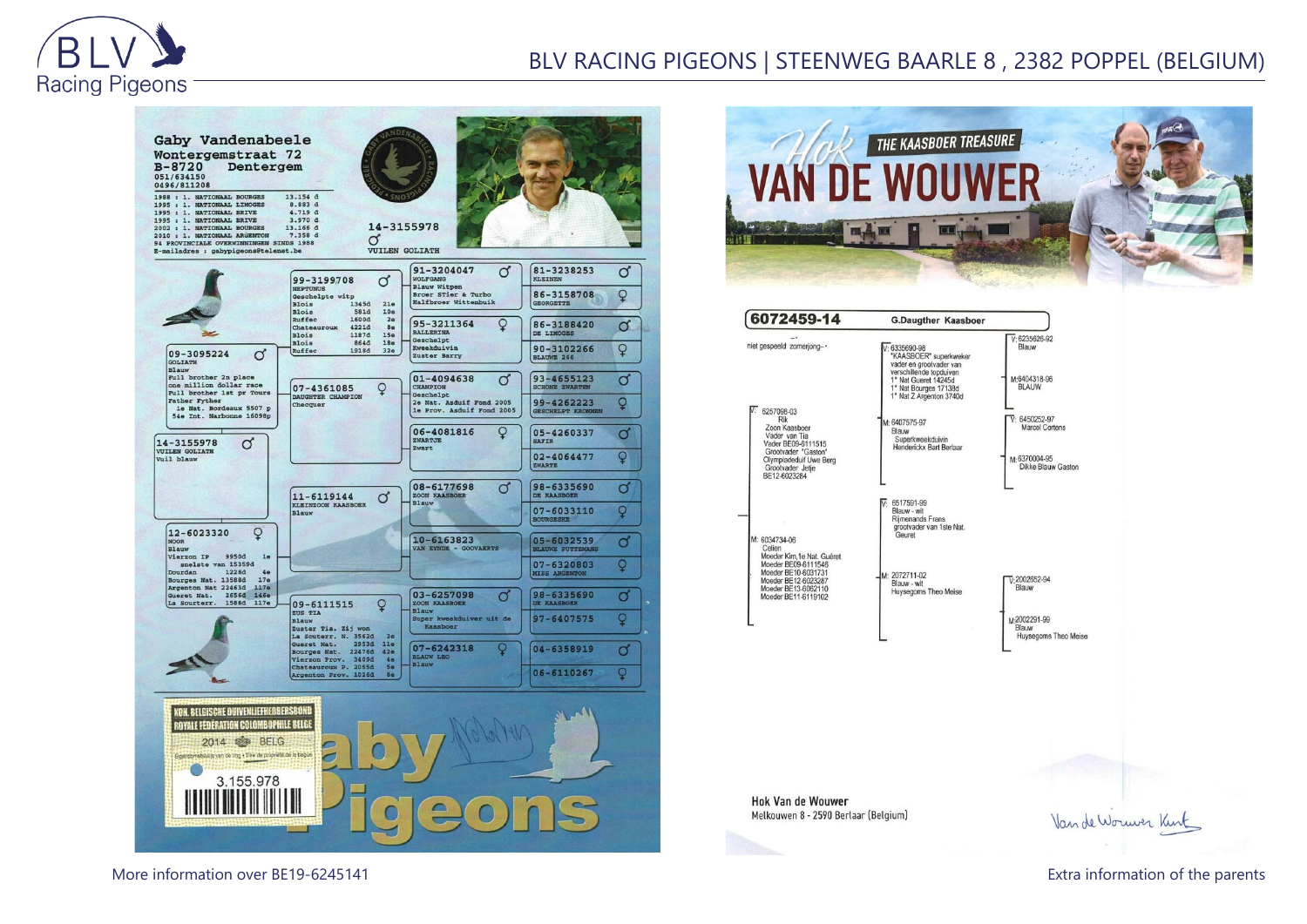

### BLV RACING PIGEONS | STEENWEG BAARLE 8 , 2382 POPPEL (BELGIUM)







**Hok Van de Wouwer** Melkouwen 8 - 2590 Berlaar (Belgium)

Van de Worwer Kint

More information over BE19-6245141 Extra information of the parents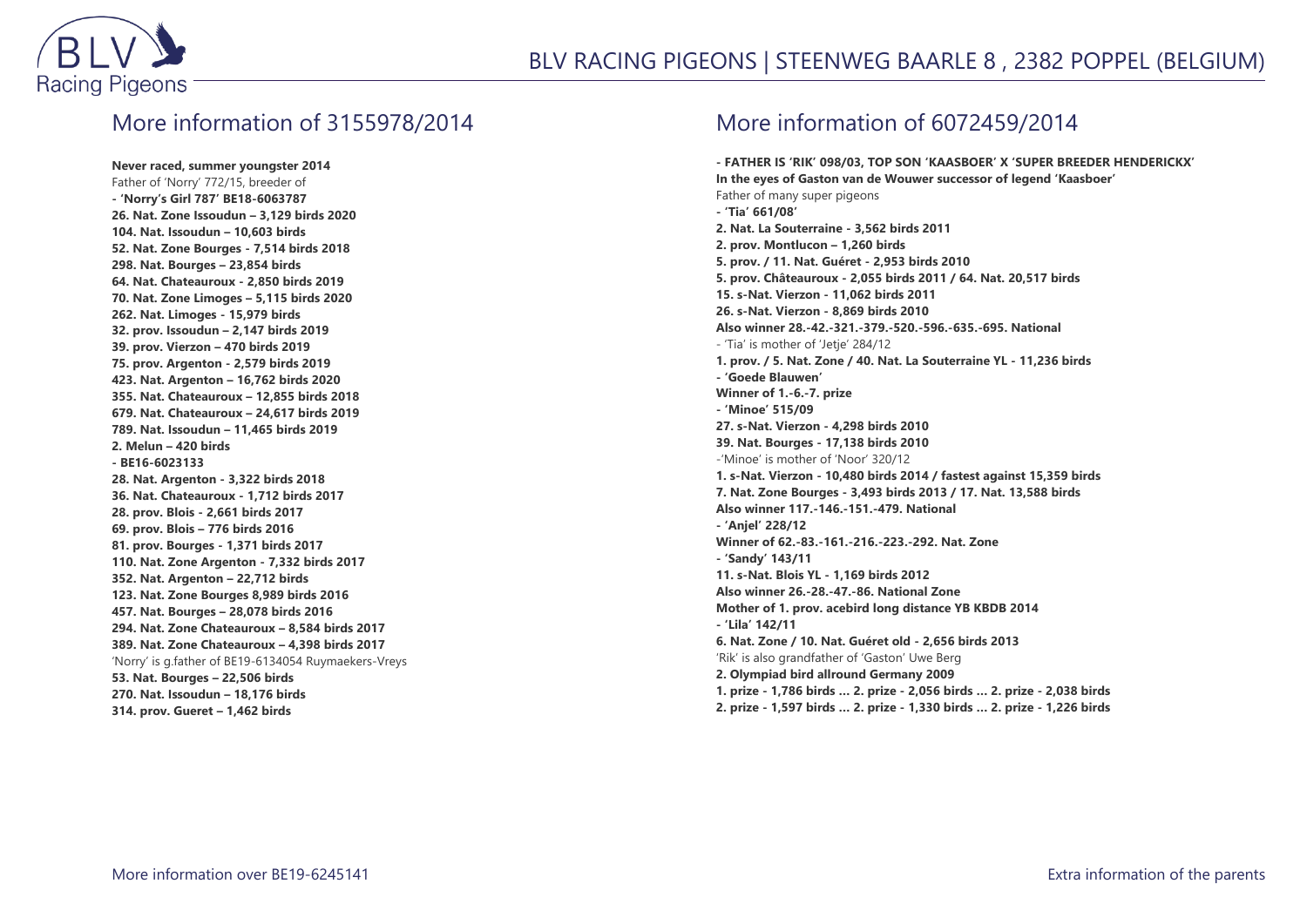

#### More information of 3155978/2014

**Never raced, summer youngster 2014** Father of 'Norry' 772/15, breeder of **- 'Norry's Girl 787' BE18-6063787 26. Nat. Zone Issoudun – 3,129 birds 2020 104. Nat. Issoudun – 10,603 birds 52. Nat. Zone Bourges - 7,514 birds 2018 298. Nat. Bourges – 23,854 birds 64. Nat. Chateauroux - 2,850 birds 2019 70. Nat. Zone Limoges – 5,115 birds 2020 262. Nat. Limoges - 15,979 birds 32. prov. Issoudun – 2,147 birds 2019 39. prov. Vierzon – 470 birds 2019 75. prov. Argenton - 2,579 birds 2019 423. Nat. Argenton – 16,762 birds 2020 355. Nat. Chateauroux – 12,855 birds 2018 679. Nat. Chateauroux – 24,617 birds 2019 789. Nat. Issoudun – 11,465 birds 2019 2. Melun – 420 birds - BE16-6023133 28. Nat. Argenton - 3,322 birds 2018 36. Nat. Chateauroux - 1,712 birds 2017 28. prov. Blois - 2,661 birds 2017 69. prov. Blois – 776 birds 2016 81. prov. Bourges - 1,371 birds 2017 110. Nat. Zone Argenton - 7,332 birds 2017 352. Nat. Argenton – 22,712 birds 123. Nat. Zone Bourges 8,989 birds 2016 457. Nat. Bourges – 28,078 birds 2016 294. Nat. Zone Chateauroux – 8,584 birds 2017 389. Nat. Zone Chateauroux – 4,398 birds 2017** 'Norry' is g.father of BE19-6134054 Ruymaekers-Vreys **53. Nat. Bourges – 22,506 birds 270. Nat. Issoudun – 18,176 birds 314. prov. Gueret – 1,462 birds**

### More information of 6072459/2014

**- FATHER IS 'RIK' 098/03, TOP SON 'KAASBOER' X 'SUPER BREEDER HENDERICKX' In the eyes of Gaston van de Wouwer successor of legend 'Kaasboer'** Father of many super pigeons **- 'Tia' 661/08' 2. Nat. La Souterraine - 3,562 birds 2011 2. prov. Montlucon – 1,260 birds 5. prov. / 11. Nat. Guéret - 2,953 birds 2010 5. prov. Châteauroux - 2,055 birds 2011 / 64. Nat. 20,517 birds 15. s-Nat. Vierzon - 11,062 birds 2011 26. s-Nat. Vierzon - 8,869 birds 2010 Also winner 28.-42.-321.-379.-520.-596.-635.-695. National** - 'Tia' is mother of 'Jetje' 284/12 **1. prov. / 5. Nat. Zone / 40. Nat. La Souterraine YL - 11,236 birds - 'Goede Blauwen' Winner of 1.-6.-7. prize - 'Minoe' 515/09 27. s-Nat. Vierzon - 4,298 birds 2010 39. Nat. Bourges - 17,138 birds 2010** -'Minoe' is mother of 'Noor' 320/12 **1. s-Nat. Vierzon - 10,480 birds 2014 / fastest against 15,359 birds 7. Nat. Zone Bourges - 3,493 birds 2013 / 17. Nat. 13,588 birds Also winner 117.-146.-151.-479. National - 'Anjel' 228/12 Winner of 62.-83.-161.-216.-223.-292. Nat. Zone - 'Sandy' 143/11 11. s-Nat. Blois YL - 1,169 birds 2012 Also winner 26.-28.-47.-86. National Zone Mother of 1. prov. acebird long distance YB KBDB 2014 - 'Lila' 142/11 6. Nat. Zone / 10. Nat. Guéret old - 2,656 birds 2013** 'Rik' is also grandfather of 'Gaston' Uwe Berg **2. Olympiad bird allround Germany 2009 1. prize - 1,786 birds … 2. prize - 2,056 birds … 2. prize - 2,038 birds 2. prize - 1,597 birds … 2. prize - 1,330 birds … 2. prize - 1,226 birds**